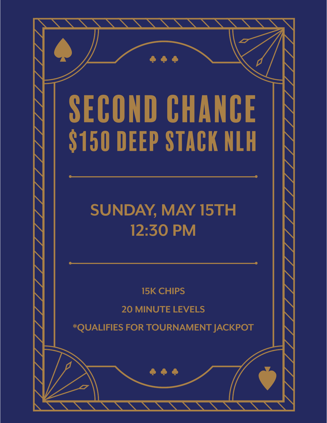